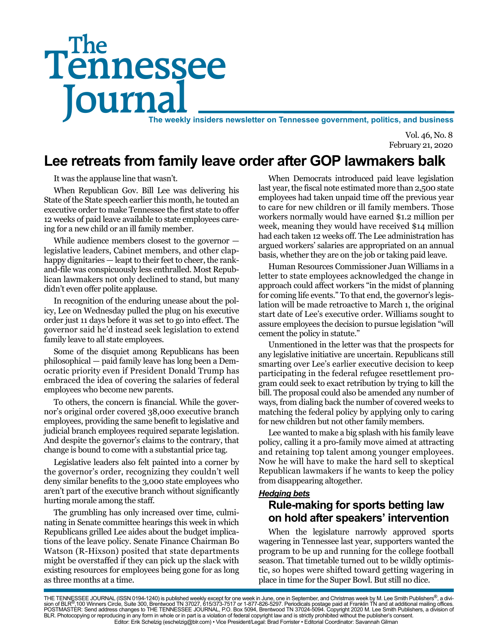# Tennessee **Journal** The weekly insiders newsletter on Tennessee government, politics, and business The

Vol. 46, No. 8 February 21, 2020

# **Lee retreats from family leave order after GOP lawmakers balk**

It was the applause line that wasn't.

When Republican Gov. Bill Lee was delivering his State of the State speech earlier this month, he touted an executive order to make Tennessee the first state to offer 12 weeks of paid leave available to state employees careing for a new child or an ill family member.

While audience members closest to the governor legislative leaders, Cabinet members, and other claphappy dignitaries — leapt to their feet to cheer, the rankand-file was conspicuously less enthralled. Most Republican lawmakers not only declined to stand, but many didn't even offer polite applause.

In recognition of the enduring unease about the policy, Lee on Wednesday pulled the plug on his executive order just 11 days before it was set to go into effect. The governor said he'd instead seek legislation to extend family leave to all state employees.

Some of the disquiet among Republicans has been philosophical — paid family leave has long been a Democratic priority even if President Donald Trump has embraced the idea of covering the salaries of federal employees who become new parents.

To others, the concern is financial. While the governor's original order covered 38,000 executive branch employees, providing the same benefit to legislative and judicial branch employees required separate legislation. And despite the governor's claims to the contrary, that change is bound to come with a substantial price tag.

Legislative leaders also felt painted into a corner by the governor's order, recognizing they couldn't well deny similar benefits to the 3,000 state employees who aren't part of the executive branch without significantly hurting morale among the staff.

The grumbling has only increased over time, culminating in Senate committee hearings this week in which Republicans grilled Lee aides about the budget implications of the leave policy. Senate Finance Chairman Bo Watson (R-Hixson) posited that state departments might be overstaffed if they can pick up the slack with existing resources for employees being gone for as long as three months at a time.

When Democrats introduced paid leave legislation last year, the fiscal note estimated more than 2,500 state employees had taken unpaid time off the previous year to care for new children or ill family members. Those workers normally would have earned \$1.2 million per week, meaning they would have received \$14 million had each taken 12 weeks off. The Lee administration has argued workers' salaries are appropriated on an annual basis, whether they are on the job or taking paid leave.

Human Resources Commissioner Juan Williams in a letter to state employees acknowledged the change in approach could affect workers "in the midst of planning for coming life events." To that end, the governor's legislation will be made retroactive to March 1, the original start date of Lee's executive order. Williams sought to assure employees the decision to pursue legislation "will cement the policy in statute."

Unmentioned in the letter was that the prospects for any legislative initiative are uncertain. Republicans still smarting over Lee's earlier executive decision to keep participating in the federal refugee resettlement program could seek to exact retribution by trying to kill the bill. The proposal could also be amended any number of ways, from dialing back the number of covered weeks to matching the federal policy by applying only to caring for new children but not other family members.

Lee wanted to make a big splash with his family leave policy, calling it a pro-family move aimed at attracting and retaining top talent among younger employees. Now he will have to make the hard sell to skeptical Republican lawmakers if he wants to keep the policy from disappearing altogether.

#### *Hedging bets*

### **Rule-making for sports betting law on hold after speakers' intervention**

When the legislature narrowly approved sports wagering in Tennessee last year, supporters wanted the program to be up and running for the college football season. That timetable turned out to be wildly optimistic, so hopes were shifted toward getting wagering in place in time for the Super Bowl. But still no dice.

THE TENNESSEE JOURNAL (ISSN 0194-1240) is published weekly except for one week in June, one in September, and Christmas week by M. Lee Smith Publishers®, a divi-<br>sion of BLR®,100 Winners Circle, Suite 300, Brentwood TN 370 BLR. Photocopying or reproducing in any form in whole or in part is a violation of federal copyright law and is strictly prohibited without the publisher's consent. Editor: Erik Schelzig (eschelzig@blr.com) • Vice President/Legal: Brad Forrister • Editorial Coordinator: Savannah Gilman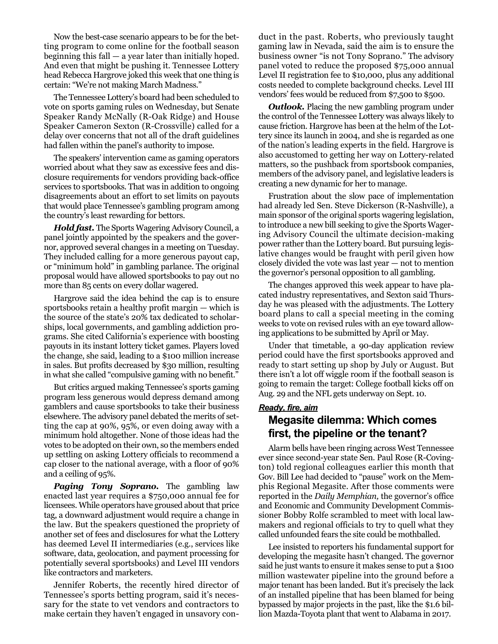Now the best-case scenario appears to be for the betting program to come online for the football season beginning this fall — a year later than initially hoped. And even that might be pushing it. Tennessee Lottery head Rebecca Hargrove joked this week that one thing is certain: "We're not making March Madness."

The Tennessee Lottery's board had been scheduled to vote on sports gaming rules on Wednesday, but Senate Speaker Randy McNally (R-Oak Ridge) and House Speaker Cameron Sexton (R-Crossville) called for a delay over concerns that not all of the draft guidelines had fallen within the panel's authority to impose.

The speakers' intervention came as gaming operators worried about what they saw as excessive fees and disclosure requirements for vendors providing back-office services to sportsbooks. That was in addition to ongoing disagreements about an effort to set limits on payouts that would place Tennessee's gambling program among the country's least rewarding for bettors.

*Hold fast.* The Sports Wagering Advisory Council, a panel jointly appointed by the speakers and the governor, approved several changes in a meeting on Tuesday. They included calling for a more generous payout cap, or "minimum hold" in gambling parlance. The original proposal would have allowed sportsbooks to pay out no more than 85 cents on every dollar wagered.

Hargrove said the idea behind the cap is to ensure sportsbooks retain a healthy profit margin — which is the source of the state's 20% tax dedicated to scholarships, local governments, and gambling addiction programs. She cited California's experience with boosting payouts in its instant lottery ticket games. Players loved the change, she said, leading to a \$100 million increase in sales. But profits decreased by \$30 million, resulting in what she called "compulsive gaming with no benefit."

But critics argued making Tennessee's sports gaming program less generous would depress demand among gamblers and cause sportsbooks to take their business elsewhere. The advisory panel debated the merits of setting the cap at 90%, 95%, or even doing away with a minimum hold altogether. None of those ideas had the votes to be adopted on their own, so the members ended up settling on asking Lottery officials to recommend a cap closer to the national average, with a floor of 90% and a ceiling of 95%.

*Paging Tony Soprano.* The gambling law enacted last year requires a \$750,000 annual fee for licensees. While operators have groused about that price tag, a downward adjustment would require a change in the law. But the speakers questioned the propriety of another set of fees and disclosures for what the Lottery has deemed Level II intermediaries (e.g., services like software, data, geolocation, and payment processing for potentially several sportsbooks) and Level III vendors like contractors and marketers.

Jennifer Roberts, the recently hired director of Tennessee's sports betting program, said it's necessary for the state to vet vendors and contractors to make certain they haven't engaged in unsavory conduct in the past. Roberts, who previously taught gaming law in Nevada, said the aim is to ensure the business owner "is not Tony Soprano." The advisory panel voted to reduce the proposed \$75,000 annual Level II registration fee to \$10,000, plus any additional costs needed to complete background checks. Level III vendors' fees would be reduced from \$7,500 to \$500.

*Outlook.* Placing the new gambling program under the control of the Tennessee Lottery was always likely to cause friction. Hargrove has been at the helm of the Lottery since its launch in 2004, and she is regarded as one of the nation's leading experts in the field. Hargrove is also accustomed to getting her way on Lottery-related matters, so the pushback from sportsbook companies, members of the advisory panel, and legislative leaders is creating a new dynamic for her to manage.

Frustration about the slow pace of implementation had already led Sen. Steve Dickerson (R-Nashville), a main sponsor of the original sports wagering legislation, to introduce a new bill seeking to give the Sports Wagering Advisory Council the ultimate decision-making power rather than the Lottery board. But pursuing legislative changes would be fraught with peril given how closely divided the vote was last year — not to mention the governor's personal opposition to all gambling.

The changes approved this week appear to have placated industry representatives, and Sexton said Thursday he was pleased with the adjustments. The Lottery board plans to call a special meeting in the coming weeks to vote on revised rules with an eye toward allowing applications to be submitted by April or May.

Under that timetable, a 90-day application review period could have the first sportsbooks approved and ready to start setting up shop by July or August. But there isn't a lot off wiggle room if the football season is going to remain the target: College football kicks off on Aug. 29 and the NFL gets underway on Sept. 10.

#### *Ready, fire, aim*

## **Megasite dilemma: Which comes first, the pipeline or the tenant?**

Alarm bells have been ringing across West Tennessee ever since second-year state Sen. Paul Rose (R-Covington) told regional colleagues earlier this month that Gov. Bill Lee had decided to "pause" work on the Memphis Regional Megasite. After those comments were reported in the *Daily Memphian,* the governor's office and Economic and Community Development Commissioner Bobby Rolfe scrambled to meet with local lawmakers and regional officials to try to quell what they called unfounded fears the site could be mothballed.

Lee insisted to reporters his fundamental support for developing the megasite hasn't changed. The governor said he just wants to ensure it makes sense to put a \$100 million wastewater pipeline into the ground before a major tenant has been landed. But it's precisely the lack of an installed pipeline that has been blamed for being bypassed by major projects in the past, like the \$1.6 billion Mazda-Toyota plant that went to Alabama in 2017.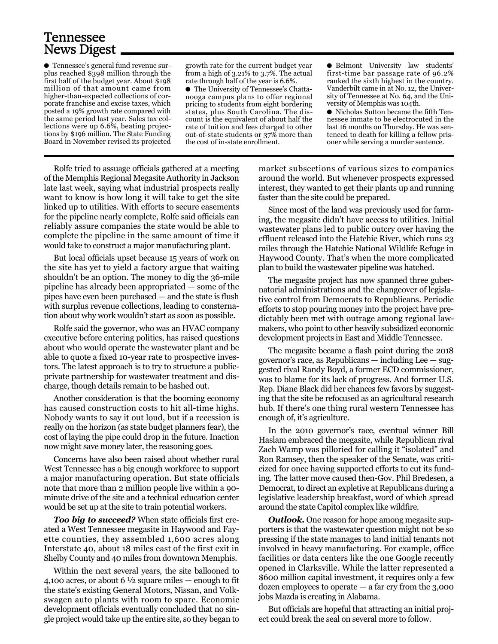## Tennessee News Digest

● Tennessee's general fund revenue surplus reached \$398 million through the first half of the budget year. About \$198 million of that amount came from higher-than-expected collections of corporate franchise and excise taxes, which posted a 19% growth rate compared with the same period last year. Sales tax collections were up 6.6%, beating projections by \$196 million. The State Funding Board in November revised its projected

growth rate for the current budget year from a high of 3.21% to 3.7%. The actual rate through half of the year is 6.6%.

● The University of Tennessee's Chattanooga campus plans to offer regional pricing to students from eight bordering states, plus South Carolina. The discount is the equivalent of about half the rate of tuition and fees charged to other out-of-state students or 37% more than the cost of in-state enrollment.

● Belmont University law students' first-time bar passage rate of 96.2% ranked the sixth highest in the country. Vanderbilt came in at No. 12, the University of Tennessee at No. 64, and the University of Memphis was 104th.

● Nicholas Sutton became the fifth Tennessee inmate to be electrocuted in the last 16 months on Thursday. He was sentenced to death for killing a fellow prisoner while serving a murder sentence.

Rolfe tried to assuage officials gathered at a meeting of the Memphis Regional Megasite Authority in Jackson late last week, saying what industrial prospects really want to know is how long it will take to get the site linked up to utilities. With efforts to secure easements for the pipeline nearly complete, Rolfe said officials can reliably assure companies the state would be able to complete the pipeline in the same amount of time it would take to construct a major manufacturing plant.

But local officials upset because 15 years of work on the site has yet to yield a factory argue that waiting shouldn't be an option. The money to dig the 36-mile pipeline has already been appropriated — some of the pipes have even been purchased — and the state is flush with surplus revenue collections, leading to consternation about why work wouldn't start as soon as possible.

Rolfe said the governor, who was an HVAC company executive before entering politics, has raised questions about who would operate the wastewater plant and be able to quote a fixed 10-year rate to prospective investors. The latest approach is to try to structure a publicprivate partnership for wastewater treatment and discharge, though details remain to be hashed out.

Another consideration is that the booming economy has caused construction costs to hit all-time highs. Nobody wants to say it out loud, but if a recession is really on the horizon (as state budget planners fear), the cost of laying the pipe could drop in the future. Inaction now might save money later, the reasoning goes.

Concerns have also been raised about whether rural West Tennessee has a big enough workforce to support a major manufacturing operation. But state officials note that more than 2 million people live within a 90 minute drive of the site and a technical education center would be set up at the site to train potential workers.

*Too big to succeed?* When state officials first created a West Tennessee megasite in Haywood and Fayette counties, they assembled 1,600 acres along Interstate 40, about 18 miles east of the first exit in Shelby County and 40 miles from downtown Memphis.

Within the next several years, the site ballooned to 4,100 acres, or about 6  $\frac{1}{2}$  square miles — enough to fit the state's existing General Motors, Nissan, and Volkswagen auto plants with room to spare. Economic development officials eventually concluded that no single project would take up the entire site, so they began to

market subsections of various sizes to companies around the world. But whenever prospects expressed interest, they wanted to get their plants up and running faster than the site could be prepared.

Since most of the land was previously used for farming, the megasite didn't have access to utilities. Initial wastewater plans led to public outcry over having the effluent released into the Hatchie River, which runs 23 miles through the Hatchie National Wildlife Refuge in Haywood County. That's when the more complicated plan to build the wastewater pipeline was hatched.

The megasite project has now spanned three gubernatorial administrations and the changeover of legislative control from Democrats to Republicans. Periodic efforts to stop pouring money into the project have predictably been met with outrage among regional lawmakers, who point to other heavily subsidized economic development projects in East and Middle Tennessee.

The megasite became a flash point during the 2018 governor's race, as Republicans — including Lee — suggested rival Randy Boyd, a former ECD commissioner, was to blame for its lack of progress. And former U.S. Rep. Diane Black did her chances few favors by suggesting that the site be refocused as an agricultural research hub. If there's one thing rural western Tennessee has enough of, it's agriculture.

In the 2010 governor's race, eventual winner Bill Haslam embraced the megasite, while Republican rival Zach Wamp was pilloried for calling it "isolated" and Ron Ramsey, then the speaker of the Senate, was criticized for once having supported efforts to cut its funding. The latter move caused then-Gov. Phil Bredesen, a Democrat, to direct an expletive at Republicans during a legislative leadership breakfast, word of which spread around the state Capitol complex like wildfire.

*Outlook.* One reason for hope among megasite supporters is that the wastewater question might not be so pressing if the state manages to land initial tenants not involved in heavy manufacturing. For example, office facilities or data centers like the one Google recently opened in Clarksville. While the latter represented a \$600 million capital investment, it requires only a few dozen employees to operate — a far cry from the 3,000 jobs Mazda is creating in Alabama.

But officials are hopeful that attracting an initial project could break the seal on several more to follow.